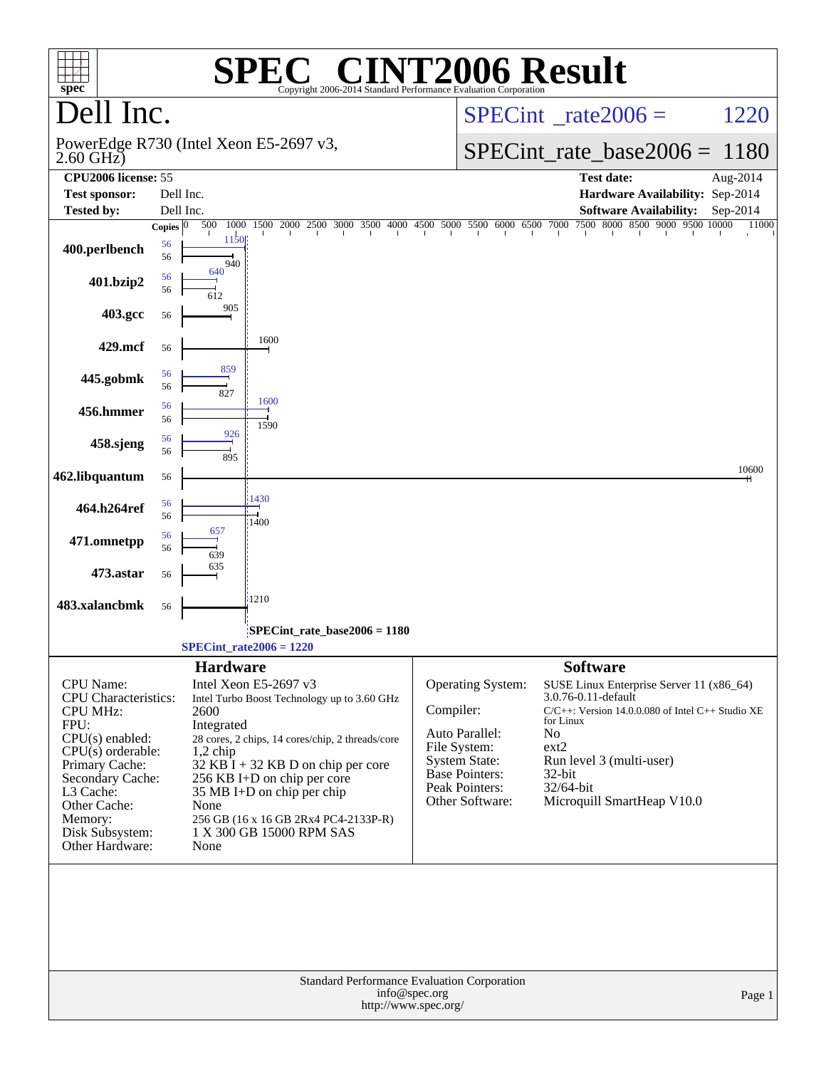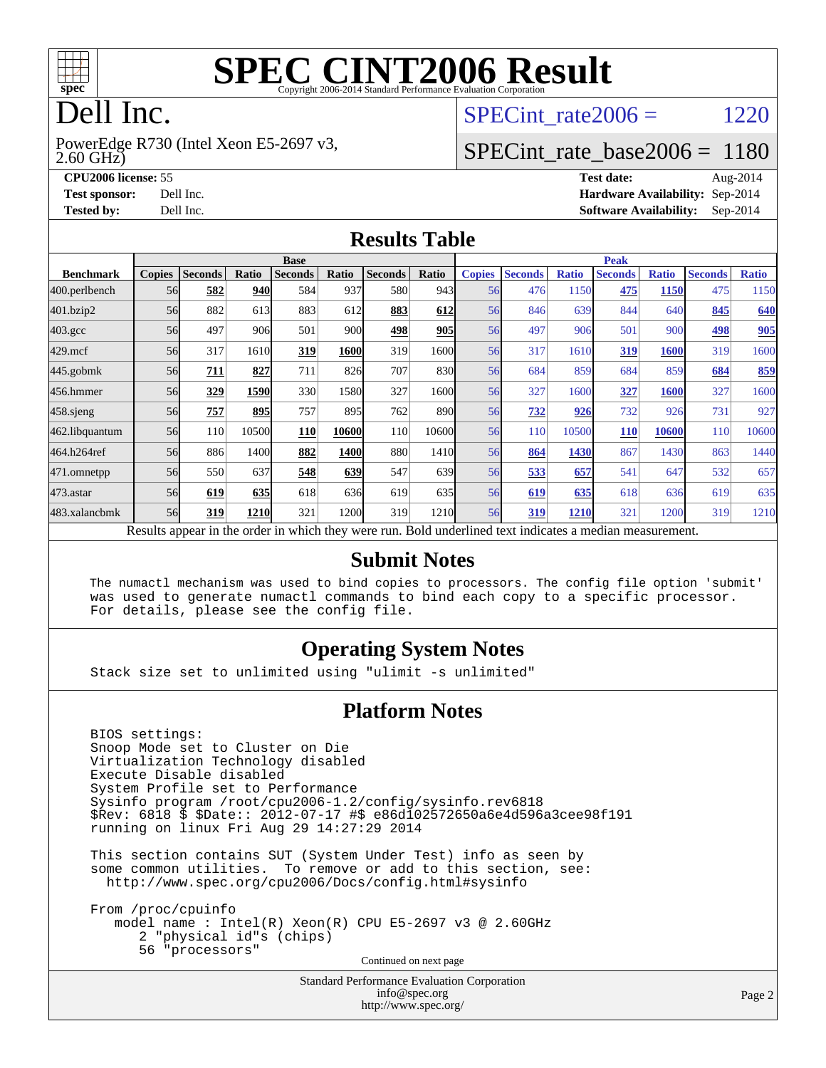

# **[SPEC CINT2006 Result](http://www.spec.org/auto/cpu2006/Docs/result-fields.html#SPECCINT2006Result)**

# Dell Inc.

2.60 GHz) PowerEdge R730 (Intel Xeon E5-2697 v3, SPECint rate $2006 = 1220$ 

## [SPECint\\_rate\\_base2006 =](http://www.spec.org/auto/cpu2006/Docs/result-fields.html#SPECintratebase2006) 1180

**[CPU2006 license:](http://www.spec.org/auto/cpu2006/Docs/result-fields.html#CPU2006license)** 55 **[Test date:](http://www.spec.org/auto/cpu2006/Docs/result-fields.html#Testdate)** Aug-2014 **[Test sponsor:](http://www.spec.org/auto/cpu2006/Docs/result-fields.html#Testsponsor)** Dell Inc. **[Hardware Availability:](http://www.spec.org/auto/cpu2006/Docs/result-fields.html#HardwareAvailability)** Sep-2014 **[Tested by:](http://www.spec.org/auto/cpu2006/Docs/result-fields.html#Testedby)** Dell Inc. **[Software Availability:](http://www.spec.org/auto/cpu2006/Docs/result-fields.html#SoftwareAvailability)** Sep-2014

#### **[Results Table](http://www.spec.org/auto/cpu2006/Docs/result-fields.html#ResultsTable)**

|                    | <b>Base</b>   |                |       |                                                                                                          |       |                |       | <b>Peak</b>   |                |              |                |              |                |              |
|--------------------|---------------|----------------|-------|----------------------------------------------------------------------------------------------------------|-------|----------------|-------|---------------|----------------|--------------|----------------|--------------|----------------|--------------|
| <b>Benchmark</b>   | <b>Copies</b> | <b>Seconds</b> | Ratio | <b>Seconds</b>                                                                                           | Ratio | <b>Seconds</b> | Ratio | <b>Copies</b> | <b>Seconds</b> | <b>Ratio</b> | <b>Seconds</b> | <b>Ratio</b> | <b>Seconds</b> | <b>Ratio</b> |
| 400.perlbench      | 56            | 582            | 940   | 584                                                                                                      | 937   | 580            | 943   | 56            | 476            | 1150         | 475            | <b>1150</b>  | 475            | 1150         |
| 401.bzip2          | 56            | 882            | 613   | 883                                                                                                      | 612   | 883            | 612   | 56            | 846            | 639          | 844            | 640          | 845            | 640          |
| $403.\mathrm{gcc}$ | 56            | 497            | 906   | 501                                                                                                      | 900   | 498            | 905   | 56            | 497            | 906          | 501            | 900          | 498            | 905          |
| $429$ .mcf         | 56            | 317            | 1610  | 319                                                                                                      | 1600  | 319            | 16001 | 56            | 317            | 1610         | 319            | 1600         | 319            | 1600         |
| $445$ .gobmk       | 56            | 711            | 827   | 711                                                                                                      | 826   | 707            | 830   | 56            | 684            | 859          | 684            | 859          | 684            | 859          |
| 456.hmmer          | 56            | 329            | 1590  | 330                                                                                                      | 1580  | 327            | 1600  | 56            | 327            | 1600         | 327            | 1600         | 327            | 1600         |
| $458$ .sjeng       | 56            | 757            | 895   | 757                                                                                                      | 895   | 762            | 890   | 56            | 732            | 926          | 732            | 926          | 731            | 927          |
| 462.libquantum     | 56            | 110            | 10500 | 110                                                                                                      | 10600 | 110            | 10600 | 56            | 110            | 10500        | <b>110</b>     | 10600        | 110            | 10600        |
| 464.h264ref        | 56            | 886            | 1400  | 882                                                                                                      | 1400  | 880            | 1410  | 56            | 864            | 1430         | 867            | 1430         | 863            | 1440         |
| 471.omnetpp        | 56            | 550            | 637   | 548                                                                                                      | 639   | 547            | 639   | 56            | 533            | 657          | 541            | 647          | 532            | 657          |
| $473$ . astar      | 56            | 619            | 635   | 618                                                                                                      | 636   | 619            | 635   | 56            | 619            | 635          | 618            | 636          | 619            | 635          |
| 483.xalancbmk      | 56            | 319            | 1210  | 321                                                                                                      | 1200  | 319            | 1210  | 56            | 319            | 1210         | 321            | 1200         | 319            | 1210         |
|                    |               |                |       | Results appear in the order in which they were run. Bold underlined text indicates a median measurement. |       |                |       |               |                |              |                |              |                |              |

#### **[Submit Notes](http://www.spec.org/auto/cpu2006/Docs/result-fields.html#SubmitNotes)**

 The numactl mechanism was used to bind copies to processors. The config file option 'submit' was used to generate numactl commands to bind each copy to a specific processor. For details, please see the config file.

#### **[Operating System Notes](http://www.spec.org/auto/cpu2006/Docs/result-fields.html#OperatingSystemNotes)**

Stack size set to unlimited using "ulimit -s unlimited"

#### **[Platform Notes](http://www.spec.org/auto/cpu2006/Docs/result-fields.html#PlatformNotes)**

 BIOS settings: Snoop Mode set to Cluster on Die Virtualization Technology disabled Execute Disable disabled System Profile set to Performance Sysinfo program /root/cpu2006-1.2/config/sysinfo.rev6818 \$Rev: 6818 \$ \$Date:: 2012-07-17 #\$ e86d102572650a6e4d596a3cee98f191 running on linux Fri Aug 29 14:27:29 2014

 This section contains SUT (System Under Test) info as seen by some common utilities. To remove or add to this section, see: <http://www.spec.org/cpu2006/Docs/config.html#sysinfo>

 From /proc/cpuinfo model name : Intel(R) Xeon(R) CPU E5-2697 v3 @ 2.60GHz 2 "physical id"s (chips) 56 "processors" Continued on next page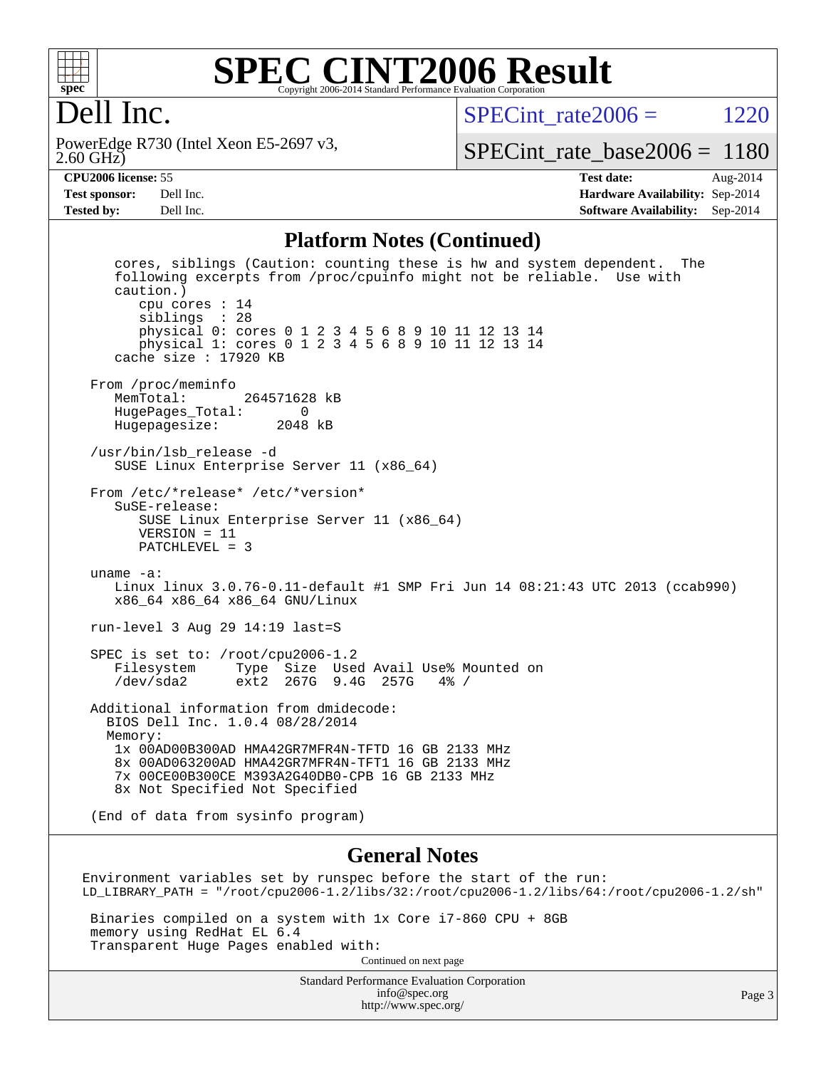

#### **[SPEC CINT2006 Result](http://www.spec.org/auto/cpu2006/Docs/result-fields.html#SPECCINT2006Result)** Copyright 2006-2014 Standard Performance Evaluation Corporation

# Dell Inc.

2.60 GHz) PowerEdge R730 (Intel Xeon E5-2697 v3, SPECint rate $2006 = 1220$ 

[SPECint\\_rate\\_base2006 =](http://www.spec.org/auto/cpu2006/Docs/result-fields.html#SPECintratebase2006) 1180

**[CPU2006 license:](http://www.spec.org/auto/cpu2006/Docs/result-fields.html#CPU2006license)** 55 **[Test date:](http://www.spec.org/auto/cpu2006/Docs/result-fields.html#Testdate)** Aug-2014 **[Test sponsor:](http://www.spec.org/auto/cpu2006/Docs/result-fields.html#Testsponsor)** Dell Inc. **[Hardware Availability:](http://www.spec.org/auto/cpu2006/Docs/result-fields.html#HardwareAvailability)** Sep-2014 **[Tested by:](http://www.spec.org/auto/cpu2006/Docs/result-fields.html#Testedby)** Dell Inc. **[Software Availability:](http://www.spec.org/auto/cpu2006/Docs/result-fields.html#SoftwareAvailability)** Sep-2014

#### **[Platform Notes \(Continued\)](http://www.spec.org/auto/cpu2006/Docs/result-fields.html#PlatformNotes)**

 cores, siblings (Caution: counting these is hw and system dependent. The following excerpts from /proc/cpuinfo might not be reliable. Use with caution.) cpu cores : 14 siblings : 28 physical 0: cores 0 1 2 3 4 5 6 8 9 10 11 12 13 14 physical 1: cores 0 1 2 3 4 5 6 8 9 10 11 12 13 14 cache size : 17920 KB From /proc/meminfo<br>MemTotal: 264571628 kB HugePages\_Total: 0 Hugepagesize: 2048 kB /usr/bin/lsb\_release -d SUSE Linux Enterprise Server 11 (x86\_64) From /etc/\*release\* /etc/\*version\* SuSE-release: SUSE Linux Enterprise Server 11 (x86\_64) VERSION = 11 PATCHLEVEL = 3 uname -a: Linux linux 3.0.76-0.11-default #1 SMP Fri Jun 14 08:21:43 UTC 2013 (ccab990) x86\_64 x86\_64 x86\_64 GNU/Linux run-level 3 Aug 29 14:19 last=S SPEC is set to: /root/cpu2006-1.2 Filesystem Type Size Used Avail Use% Mounted on /dev/sda2 ext2 267G 9.4G 257G 4% / Additional information from dmidecode: BIOS Dell Inc. 1.0.4 08/28/2014 Memory: 1x 00AD00B300AD HMA42GR7MFR4N-TFTD 16 GB 2133 MHz 8x 00AD063200AD HMA42GR7MFR4N-TFT1 16 GB 2133 MHz 7x 00CE00B300CE M393A2G40DB0-CPB 16 GB 2133 MHz 8x Not Specified Not Specified (End of data from sysinfo program)

#### **[General Notes](http://www.spec.org/auto/cpu2006/Docs/result-fields.html#GeneralNotes)**

Environment variables set by runspec before the start of the run: LD\_LIBRARY\_PATH = "/root/cpu2006-1.2/libs/32:/root/cpu2006-1.2/libs/64:/root/cpu2006-1.2/sh"

 Binaries compiled on a system with 1x Core i7-860 CPU + 8GB memory using RedHat EL 6.4 Transparent Huge Pages enabled with: Continued on next page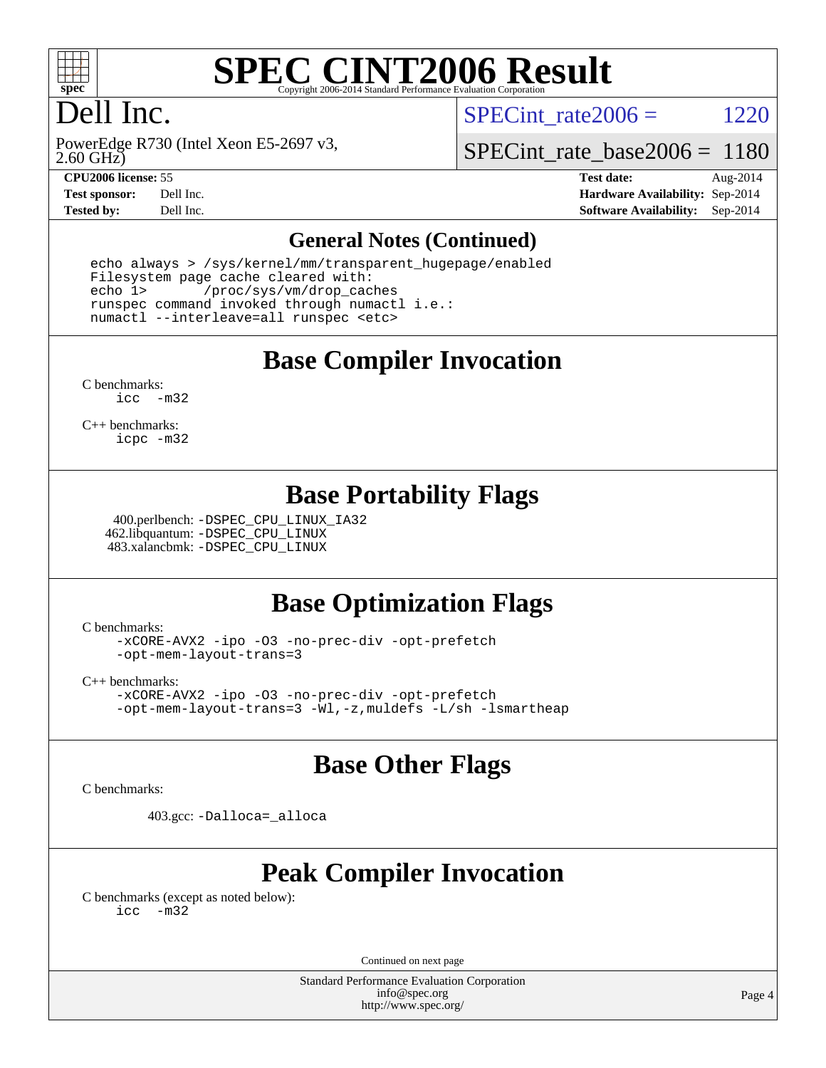

# **[SPEC CINT2006 Result](http://www.spec.org/auto/cpu2006/Docs/result-fields.html#SPECCINT2006Result)**

# Dell Inc.

SPECint rate $2006 = 1220$ 

2.60 GHz) PowerEdge R730 (Intel Xeon E5-2697 v3,

[SPECint\\_rate\\_base2006 =](http://www.spec.org/auto/cpu2006/Docs/result-fields.html#SPECintratebase2006) 1180

**[CPU2006 license:](http://www.spec.org/auto/cpu2006/Docs/result-fields.html#CPU2006license)** 55 **[Test date:](http://www.spec.org/auto/cpu2006/Docs/result-fields.html#Testdate)** Aug-2014 **[Test sponsor:](http://www.spec.org/auto/cpu2006/Docs/result-fields.html#Testsponsor)** Dell Inc. **[Hardware Availability:](http://www.spec.org/auto/cpu2006/Docs/result-fields.html#HardwareAvailability)** Sep-2014 **[Tested by:](http://www.spec.org/auto/cpu2006/Docs/result-fields.html#Testedby)** Dell Inc. **[Software Availability:](http://www.spec.org/auto/cpu2006/Docs/result-fields.html#SoftwareAvailability)** Sep-2014

#### **[General Notes \(Continued\)](http://www.spec.org/auto/cpu2006/Docs/result-fields.html#GeneralNotes)**

 echo always > /sys/kernel/mm/transparent\_hugepage/enabled Filesystem page cache cleared with: echo 1> /proc/sys/vm/drop\_caches runspec command invoked through numactl i.e.: numactl --interleave=all runspec <etc>

**[Base Compiler Invocation](http://www.spec.org/auto/cpu2006/Docs/result-fields.html#BaseCompilerInvocation)**

[C benchmarks](http://www.spec.org/auto/cpu2006/Docs/result-fields.html#Cbenchmarks): [icc -m32](http://www.spec.org/cpu2006/results/res2014q3/cpu2006-20140909-31402.flags.html#user_CCbase_intel_icc_5ff4a39e364c98233615fdd38438c6f2)

[C++ benchmarks:](http://www.spec.org/auto/cpu2006/Docs/result-fields.html#CXXbenchmarks) [icpc -m32](http://www.spec.org/cpu2006/results/res2014q3/cpu2006-20140909-31402.flags.html#user_CXXbase_intel_icpc_4e5a5ef1a53fd332b3c49e69c3330699)

#### **[Base Portability Flags](http://www.spec.org/auto/cpu2006/Docs/result-fields.html#BasePortabilityFlags)**

 400.perlbench: [-DSPEC\\_CPU\\_LINUX\\_IA32](http://www.spec.org/cpu2006/results/res2014q3/cpu2006-20140909-31402.flags.html#b400.perlbench_baseCPORTABILITY_DSPEC_CPU_LINUX_IA32) 462.libquantum: [-DSPEC\\_CPU\\_LINUX](http://www.spec.org/cpu2006/results/res2014q3/cpu2006-20140909-31402.flags.html#b462.libquantum_baseCPORTABILITY_DSPEC_CPU_LINUX) 483.xalancbmk: [-DSPEC\\_CPU\\_LINUX](http://www.spec.org/cpu2006/results/res2014q3/cpu2006-20140909-31402.flags.html#b483.xalancbmk_baseCXXPORTABILITY_DSPEC_CPU_LINUX)

## **[Base Optimization Flags](http://www.spec.org/auto/cpu2006/Docs/result-fields.html#BaseOptimizationFlags)**

[C benchmarks](http://www.spec.org/auto/cpu2006/Docs/result-fields.html#Cbenchmarks):

[-xCORE-AVX2](http://www.spec.org/cpu2006/results/res2014q3/cpu2006-20140909-31402.flags.html#user_CCbase_f-xAVX2_5f5fc0cbe2c9f62c816d3e45806c70d7) [-ipo](http://www.spec.org/cpu2006/results/res2014q3/cpu2006-20140909-31402.flags.html#user_CCbase_f-ipo) [-O3](http://www.spec.org/cpu2006/results/res2014q3/cpu2006-20140909-31402.flags.html#user_CCbase_f-O3) [-no-prec-div](http://www.spec.org/cpu2006/results/res2014q3/cpu2006-20140909-31402.flags.html#user_CCbase_f-no-prec-div) [-opt-prefetch](http://www.spec.org/cpu2006/results/res2014q3/cpu2006-20140909-31402.flags.html#user_CCbase_f-opt-prefetch) [-opt-mem-layout-trans=3](http://www.spec.org/cpu2006/results/res2014q3/cpu2006-20140909-31402.flags.html#user_CCbase_f-opt-mem-layout-trans_a7b82ad4bd7abf52556d4961a2ae94d5)

[C++ benchmarks:](http://www.spec.org/auto/cpu2006/Docs/result-fields.html#CXXbenchmarks)

[-xCORE-AVX2](http://www.spec.org/cpu2006/results/res2014q3/cpu2006-20140909-31402.flags.html#user_CXXbase_f-xAVX2_5f5fc0cbe2c9f62c816d3e45806c70d7) [-ipo](http://www.spec.org/cpu2006/results/res2014q3/cpu2006-20140909-31402.flags.html#user_CXXbase_f-ipo) [-O3](http://www.spec.org/cpu2006/results/res2014q3/cpu2006-20140909-31402.flags.html#user_CXXbase_f-O3) [-no-prec-div](http://www.spec.org/cpu2006/results/res2014q3/cpu2006-20140909-31402.flags.html#user_CXXbase_f-no-prec-div) [-opt-prefetch](http://www.spec.org/cpu2006/results/res2014q3/cpu2006-20140909-31402.flags.html#user_CXXbase_f-opt-prefetch) [-opt-mem-layout-trans=3](http://www.spec.org/cpu2006/results/res2014q3/cpu2006-20140909-31402.flags.html#user_CXXbase_f-opt-mem-layout-trans_a7b82ad4bd7abf52556d4961a2ae94d5) [-Wl,-z,muldefs](http://www.spec.org/cpu2006/results/res2014q3/cpu2006-20140909-31402.flags.html#user_CXXbase_link_force_multiple1_74079c344b956b9658436fd1b6dd3a8a) [-L/sh -lsmartheap](http://www.spec.org/cpu2006/results/res2014q3/cpu2006-20140909-31402.flags.html#user_CXXbase_SmartHeap_32f6c82aa1ed9c52345d30cf6e4a0499)

## **[Base Other Flags](http://www.spec.org/auto/cpu2006/Docs/result-fields.html#BaseOtherFlags)**

[C benchmarks](http://www.spec.org/auto/cpu2006/Docs/result-fields.html#Cbenchmarks):

403.gcc: [-Dalloca=\\_alloca](http://www.spec.org/cpu2006/results/res2014q3/cpu2006-20140909-31402.flags.html#b403.gcc_baseEXTRA_CFLAGS_Dalloca_be3056838c12de2578596ca5467af7f3)

# **[Peak Compiler Invocation](http://www.spec.org/auto/cpu2006/Docs/result-fields.html#PeakCompilerInvocation)**

[C benchmarks \(except as noted below\)](http://www.spec.org/auto/cpu2006/Docs/result-fields.html#Cbenchmarksexceptasnotedbelow): [icc -m32](http://www.spec.org/cpu2006/results/res2014q3/cpu2006-20140909-31402.flags.html#user_CCpeak_intel_icc_5ff4a39e364c98233615fdd38438c6f2)

Continued on next page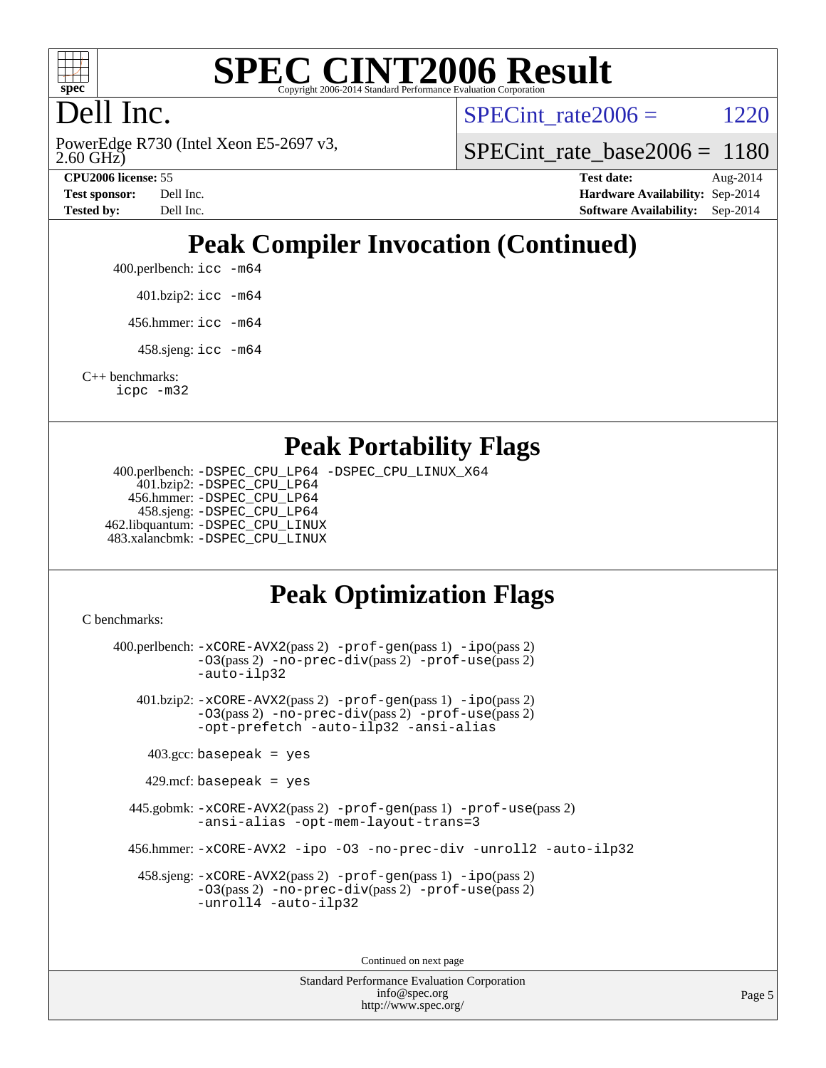

#### **[SPEC CINT2006 Result](http://www.spec.org/auto/cpu2006/Docs/result-fields.html#SPECCINT2006Result)** Copyright 2006-2014 Standard Performance Evaluation C

# Dell Inc.

2.60 GHz) PowerEdge R730 (Intel Xeon E5-2697 v3, SPECint rate $2006 = 1220$ 

[SPECint\\_rate\\_base2006 =](http://www.spec.org/auto/cpu2006/Docs/result-fields.html#SPECintratebase2006) 1180

**[CPU2006 license:](http://www.spec.org/auto/cpu2006/Docs/result-fields.html#CPU2006license)** 55 **[Test date:](http://www.spec.org/auto/cpu2006/Docs/result-fields.html#Testdate)** Aug-2014 **[Test sponsor:](http://www.spec.org/auto/cpu2006/Docs/result-fields.html#Testsponsor)** Dell Inc. **[Hardware Availability:](http://www.spec.org/auto/cpu2006/Docs/result-fields.html#HardwareAvailability)** Sep-2014 **[Tested by:](http://www.spec.org/auto/cpu2006/Docs/result-fields.html#Testedby)** Dell Inc. **[Software Availability:](http://www.spec.org/auto/cpu2006/Docs/result-fields.html#SoftwareAvailability)** Sep-2014

# **[Peak Compiler Invocation \(Continued\)](http://www.spec.org/auto/cpu2006/Docs/result-fields.html#PeakCompilerInvocation)**

400.perlbench: [icc -m64](http://www.spec.org/cpu2006/results/res2014q3/cpu2006-20140909-31402.flags.html#user_peakCCLD400_perlbench_intel_icc_64bit_bda6cc9af1fdbb0edc3795bac97ada53)

401.bzip2: [icc -m64](http://www.spec.org/cpu2006/results/res2014q3/cpu2006-20140909-31402.flags.html#user_peakCCLD401_bzip2_intel_icc_64bit_bda6cc9af1fdbb0edc3795bac97ada53)

456.hmmer: [icc -m64](http://www.spec.org/cpu2006/results/res2014q3/cpu2006-20140909-31402.flags.html#user_peakCCLD456_hmmer_intel_icc_64bit_bda6cc9af1fdbb0edc3795bac97ada53)

458.sjeng: [icc -m64](http://www.spec.org/cpu2006/results/res2014q3/cpu2006-20140909-31402.flags.html#user_peakCCLD458_sjeng_intel_icc_64bit_bda6cc9af1fdbb0edc3795bac97ada53)

[C++ benchmarks:](http://www.spec.org/auto/cpu2006/Docs/result-fields.html#CXXbenchmarks) [icpc -m32](http://www.spec.org/cpu2006/results/res2014q3/cpu2006-20140909-31402.flags.html#user_CXXpeak_intel_icpc_4e5a5ef1a53fd332b3c49e69c3330699)

#### **[Peak Portability Flags](http://www.spec.org/auto/cpu2006/Docs/result-fields.html#PeakPortabilityFlags)**

 400.perlbench: [-DSPEC\\_CPU\\_LP64](http://www.spec.org/cpu2006/results/res2014q3/cpu2006-20140909-31402.flags.html#b400.perlbench_peakCPORTABILITY_DSPEC_CPU_LP64) [-DSPEC\\_CPU\\_LINUX\\_X64](http://www.spec.org/cpu2006/results/res2014q3/cpu2006-20140909-31402.flags.html#b400.perlbench_peakCPORTABILITY_DSPEC_CPU_LINUX_X64) 401.bzip2: [-DSPEC\\_CPU\\_LP64](http://www.spec.org/cpu2006/results/res2014q3/cpu2006-20140909-31402.flags.html#suite_peakCPORTABILITY401_bzip2_DSPEC_CPU_LP64) 456.hmmer: [-DSPEC\\_CPU\\_LP64](http://www.spec.org/cpu2006/results/res2014q3/cpu2006-20140909-31402.flags.html#suite_peakCPORTABILITY456_hmmer_DSPEC_CPU_LP64) 458.sjeng: [-DSPEC\\_CPU\\_LP64](http://www.spec.org/cpu2006/results/res2014q3/cpu2006-20140909-31402.flags.html#suite_peakCPORTABILITY458_sjeng_DSPEC_CPU_LP64) 462.libquantum: [-DSPEC\\_CPU\\_LINUX](http://www.spec.org/cpu2006/results/res2014q3/cpu2006-20140909-31402.flags.html#b462.libquantum_peakCPORTABILITY_DSPEC_CPU_LINUX) 483.xalancbmk: [-DSPEC\\_CPU\\_LINUX](http://www.spec.org/cpu2006/results/res2014q3/cpu2006-20140909-31402.flags.html#b483.xalancbmk_peakCXXPORTABILITY_DSPEC_CPU_LINUX)

# **[Peak Optimization Flags](http://www.spec.org/auto/cpu2006/Docs/result-fields.html#PeakOptimizationFlags)**

[C benchmarks](http://www.spec.org/auto/cpu2006/Docs/result-fields.html#Cbenchmarks):

 400.perlbench: [-xCORE-AVX2](http://www.spec.org/cpu2006/results/res2014q3/cpu2006-20140909-31402.flags.html#user_peakPASS2_CFLAGSPASS2_LDCFLAGS400_perlbench_f-xAVX2_5f5fc0cbe2c9f62c816d3e45806c70d7)(pass 2) [-prof-gen](http://www.spec.org/cpu2006/results/res2014q3/cpu2006-20140909-31402.flags.html#user_peakPASS1_CFLAGSPASS1_LDCFLAGS400_perlbench_prof_gen_e43856698f6ca7b7e442dfd80e94a8fc)(pass 1) [-ipo](http://www.spec.org/cpu2006/results/res2014q3/cpu2006-20140909-31402.flags.html#user_peakPASS2_CFLAGSPASS2_LDCFLAGS400_perlbench_f-ipo)(pass 2) [-O3](http://www.spec.org/cpu2006/results/res2014q3/cpu2006-20140909-31402.flags.html#user_peakPASS2_CFLAGSPASS2_LDCFLAGS400_perlbench_f-O3)(pass 2) [-no-prec-div](http://www.spec.org/cpu2006/results/res2014q3/cpu2006-20140909-31402.flags.html#user_peakPASS2_CFLAGSPASS2_LDCFLAGS400_perlbench_f-no-prec-div)(pass 2) [-prof-use](http://www.spec.org/cpu2006/results/res2014q3/cpu2006-20140909-31402.flags.html#user_peakPASS2_CFLAGSPASS2_LDCFLAGS400_perlbench_prof_use_bccf7792157ff70d64e32fe3e1250b55)(pass 2) [-auto-ilp32](http://www.spec.org/cpu2006/results/res2014q3/cpu2006-20140909-31402.flags.html#user_peakCOPTIMIZE400_perlbench_f-auto-ilp32) 401.bzip2: [-xCORE-AVX2](http://www.spec.org/cpu2006/results/res2014q3/cpu2006-20140909-31402.flags.html#user_peakPASS2_CFLAGSPASS2_LDCFLAGS401_bzip2_f-xAVX2_5f5fc0cbe2c9f62c816d3e45806c70d7)(pass 2) [-prof-gen](http://www.spec.org/cpu2006/results/res2014q3/cpu2006-20140909-31402.flags.html#user_peakPASS1_CFLAGSPASS1_LDCFLAGS401_bzip2_prof_gen_e43856698f6ca7b7e442dfd80e94a8fc)(pass 1) [-ipo](http://www.spec.org/cpu2006/results/res2014q3/cpu2006-20140909-31402.flags.html#user_peakPASS2_CFLAGSPASS2_LDCFLAGS401_bzip2_f-ipo)(pass 2) [-O3](http://www.spec.org/cpu2006/results/res2014q3/cpu2006-20140909-31402.flags.html#user_peakPASS2_CFLAGSPASS2_LDCFLAGS401_bzip2_f-O3)(pass 2) [-no-prec-div](http://www.spec.org/cpu2006/results/res2014q3/cpu2006-20140909-31402.flags.html#user_peakPASS2_CFLAGSPASS2_LDCFLAGS401_bzip2_f-no-prec-div)(pass 2) [-prof-use](http://www.spec.org/cpu2006/results/res2014q3/cpu2006-20140909-31402.flags.html#user_peakPASS2_CFLAGSPASS2_LDCFLAGS401_bzip2_prof_use_bccf7792157ff70d64e32fe3e1250b55)(pass 2) [-opt-prefetch](http://www.spec.org/cpu2006/results/res2014q3/cpu2006-20140909-31402.flags.html#user_peakCOPTIMIZE401_bzip2_f-opt-prefetch) [-auto-ilp32](http://www.spec.org/cpu2006/results/res2014q3/cpu2006-20140909-31402.flags.html#user_peakCOPTIMIZE401_bzip2_f-auto-ilp32) [-ansi-alias](http://www.spec.org/cpu2006/results/res2014q3/cpu2006-20140909-31402.flags.html#user_peakCOPTIMIZE401_bzip2_f-ansi-alias)  $403.\text{gcc: basepeak}$  = yes  $429$ .mcf: basepeak = yes 445.gobmk: [-xCORE-AVX2](http://www.spec.org/cpu2006/results/res2014q3/cpu2006-20140909-31402.flags.html#user_peakPASS2_CFLAGSPASS2_LDCFLAGS445_gobmk_f-xAVX2_5f5fc0cbe2c9f62c816d3e45806c70d7)(pass 2) [-prof-gen](http://www.spec.org/cpu2006/results/res2014q3/cpu2006-20140909-31402.flags.html#user_peakPASS1_CFLAGSPASS1_LDCFLAGS445_gobmk_prof_gen_e43856698f6ca7b7e442dfd80e94a8fc)(pass 1) [-prof-use](http://www.spec.org/cpu2006/results/res2014q3/cpu2006-20140909-31402.flags.html#user_peakPASS2_CFLAGSPASS2_LDCFLAGS445_gobmk_prof_use_bccf7792157ff70d64e32fe3e1250b55)(pass 2) [-ansi-alias](http://www.spec.org/cpu2006/results/res2014q3/cpu2006-20140909-31402.flags.html#user_peakCOPTIMIZE445_gobmk_f-ansi-alias) [-opt-mem-layout-trans=3](http://www.spec.org/cpu2006/results/res2014q3/cpu2006-20140909-31402.flags.html#user_peakCOPTIMIZE445_gobmk_f-opt-mem-layout-trans_a7b82ad4bd7abf52556d4961a2ae94d5) 456.hmmer: [-xCORE-AVX2](http://www.spec.org/cpu2006/results/res2014q3/cpu2006-20140909-31402.flags.html#user_peakCOPTIMIZE456_hmmer_f-xAVX2_5f5fc0cbe2c9f62c816d3e45806c70d7) [-ipo](http://www.spec.org/cpu2006/results/res2014q3/cpu2006-20140909-31402.flags.html#user_peakCOPTIMIZE456_hmmer_f-ipo) [-O3](http://www.spec.org/cpu2006/results/res2014q3/cpu2006-20140909-31402.flags.html#user_peakCOPTIMIZE456_hmmer_f-O3) [-no-prec-div](http://www.spec.org/cpu2006/results/res2014q3/cpu2006-20140909-31402.flags.html#user_peakCOPTIMIZE456_hmmer_f-no-prec-div) [-unroll2](http://www.spec.org/cpu2006/results/res2014q3/cpu2006-20140909-31402.flags.html#user_peakCOPTIMIZE456_hmmer_f-unroll_784dae83bebfb236979b41d2422d7ec2) [-auto-ilp32](http://www.spec.org/cpu2006/results/res2014q3/cpu2006-20140909-31402.flags.html#user_peakCOPTIMIZE456_hmmer_f-auto-ilp32) 458.sjeng: [-xCORE-AVX2](http://www.spec.org/cpu2006/results/res2014q3/cpu2006-20140909-31402.flags.html#user_peakPASS2_CFLAGSPASS2_LDCFLAGS458_sjeng_f-xAVX2_5f5fc0cbe2c9f62c816d3e45806c70d7)(pass 2) [-prof-gen](http://www.spec.org/cpu2006/results/res2014q3/cpu2006-20140909-31402.flags.html#user_peakPASS1_CFLAGSPASS1_LDCFLAGS458_sjeng_prof_gen_e43856698f6ca7b7e442dfd80e94a8fc)(pass 1) [-ipo](http://www.spec.org/cpu2006/results/res2014q3/cpu2006-20140909-31402.flags.html#user_peakPASS2_CFLAGSPASS2_LDCFLAGS458_sjeng_f-ipo)(pass 2) [-O3](http://www.spec.org/cpu2006/results/res2014q3/cpu2006-20140909-31402.flags.html#user_peakPASS2_CFLAGSPASS2_LDCFLAGS458_sjeng_f-O3)(pass 2) [-no-prec-div](http://www.spec.org/cpu2006/results/res2014q3/cpu2006-20140909-31402.flags.html#user_peakPASS2_CFLAGSPASS2_LDCFLAGS458_sjeng_f-no-prec-div)(pass 2) [-prof-use](http://www.spec.org/cpu2006/results/res2014q3/cpu2006-20140909-31402.flags.html#user_peakPASS2_CFLAGSPASS2_LDCFLAGS458_sjeng_prof_use_bccf7792157ff70d64e32fe3e1250b55)(pass 2) [-unroll4](http://www.spec.org/cpu2006/results/res2014q3/cpu2006-20140909-31402.flags.html#user_peakCOPTIMIZE458_sjeng_f-unroll_4e5e4ed65b7fd20bdcd365bec371b81f) [-auto-ilp32](http://www.spec.org/cpu2006/results/res2014q3/cpu2006-20140909-31402.flags.html#user_peakCOPTIMIZE458_sjeng_f-auto-ilp32)

Continued on next page